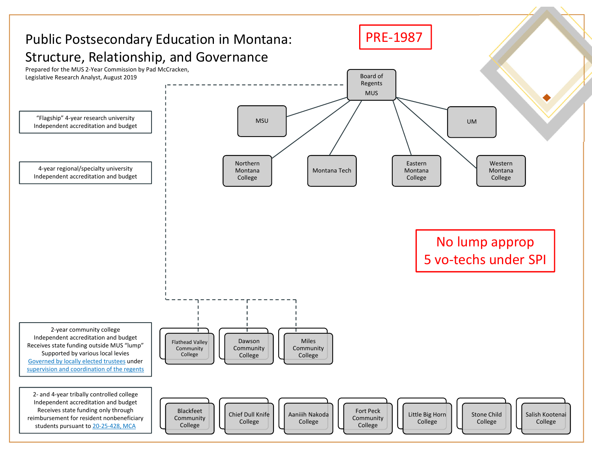